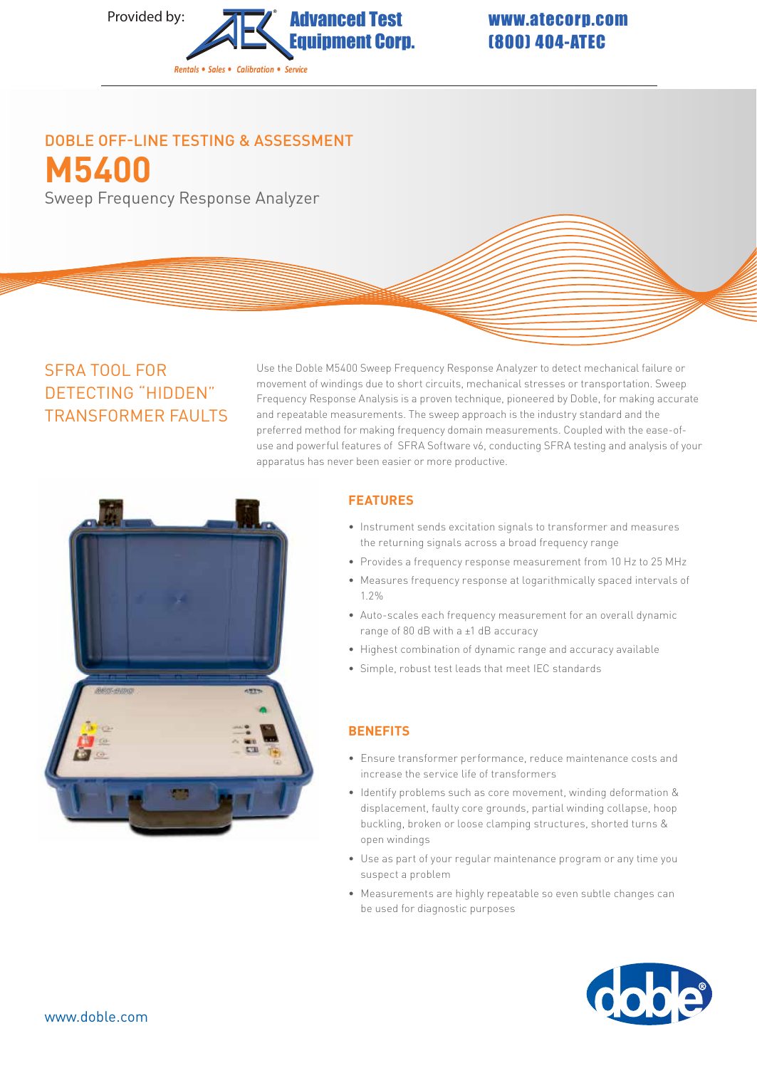

# (800) 404-ATEC

## **M5400** DOBLE OFF-LINE TESTING & ASSESSMENT

Sweep Frequency Response Analyzer

### SFRA TOOL FOR DETECTING "HIDDEN" TRANSFORMER FAULTS

Use the Doble M5400 Sweep Frequency Response Analyzer to detect mechanical failure or movement of windings due to short circuits, mechanical stresses or transportation. Sweep Frequency Response Analysis is a proven technique, pioneered by Doble, for making accurate and repeatable measurements. The sweep approach is the industry standard and the preferred method for making frequency domain measurements. Coupled with the ease-ofuse and powerful features of SFRA Software v6, conducting SFRA testing and analysis of your apparatus has never been easier or more productive.



#### **FEATURES**

- Instrument sends excitation signals to transformer and measures the returning signals across a broad frequency range
- Provides a frequency response measurement from 10 Hz to 25 MHz
- Measures frequency response at logarithmically spaced intervals of 1.2%
- Auto-scales each frequency measurement for an overall dynamic range of 80 dB with a ±1 dB accuracy
- Highest combination of dynamic range and accuracy available
- Simple, robust test leads that meet IEC standards

#### **BENEFITS**

- Ensure transformer performance, reduce maintenance costs and increase the service life of transformers
- Identify problems such as core movement, winding deformation & displacement, faulty core grounds, partial winding collapse, hoop buckling, broken or loose clamping structures, shorted turns & open windings
- Use as part of your regular maintenance program or any time you suspect a problem
- Measurements are highly repeatable so even subtle changes can be used for diagnostic purposes